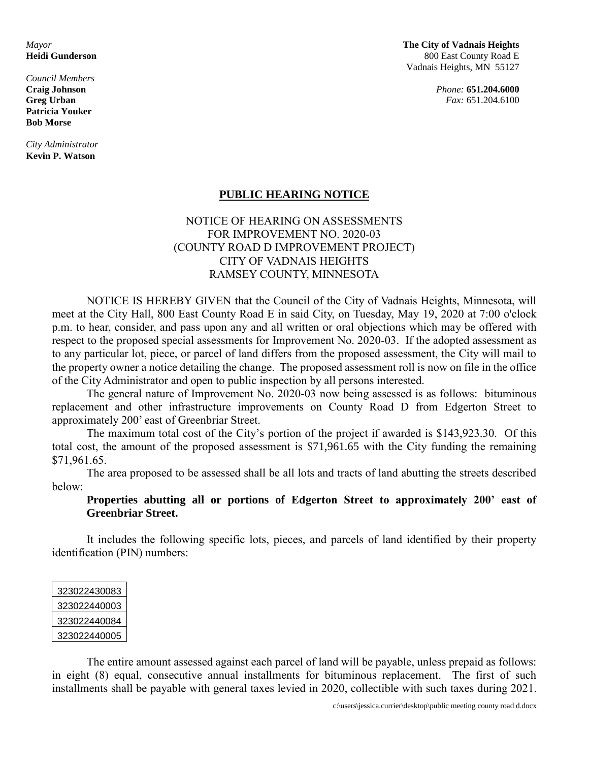*Council Members* **Patricia Youker Bob Morse**

*City Administrator* **Kevin P. Watson**

*Mayor* **The City of Vadnais Heights Heidi Gunderson** 800 East County Road E Vadnais Heights, MN 55127

**Craig Johnson** *Phone:* **651.204.6000 Greg Urban** *Fax:* 651.204.6100

## **PUBLIC HEARING NOTICE**

## NOTICE OF HEARING ON ASSESSMENTS FOR IMPROVEMENT NO. 2020-03 (COUNTY ROAD D IMPROVEMENT PROJECT) CITY OF VADNAIS HEIGHTS RAMSEY COUNTY, MINNESOTA

NOTICE IS HEREBY GIVEN that the Council of the City of Vadnais Heights, Minnesota, will meet at the City Hall, 800 East County Road E in said City, on Tuesday, May 19, 2020 at 7:00 o'clock p.m. to hear, consider, and pass upon any and all written or oral objections which may be offered with respect to the proposed special assessments for Improvement No. 2020-03. If the adopted assessment as to any particular lot, piece, or parcel of land differs from the proposed assessment, the City will mail to the property owner a notice detailing the change. The proposed assessment roll is now on file in the office of the City Administrator and open to public inspection by all persons interested.

The general nature of Improvement No. 2020-03 now being assessed is as follows: bituminous replacement and other infrastructure improvements on County Road D from Edgerton Street to approximately 200' east of Greenbriar Street.

The maximum total cost of the City's portion of the project if awarded is \$143,923.30. Of this total cost, the amount of the proposed assessment is \$71,961.65 with the City funding the remaining \$71,961.65.

The area proposed to be assessed shall be all lots and tracts of land abutting the streets described below:

**Properties abutting all or portions of Edgerton Street to approximately 200' east of Greenbriar Street.**

It includes the following specific lots, pieces, and parcels of land identified by their property identification (PIN) numbers:

| 323022430083 |
|--------------|
| 323022440003 |
| 323022440084 |
| 323022440005 |

The entire amount assessed against each parcel of land will be payable, unless prepaid as follows: in eight (8) equal, consecutive annual installments for bituminous replacement. The first of such installments shall be payable with general taxes levied in 2020, collectible with such taxes during 2021.